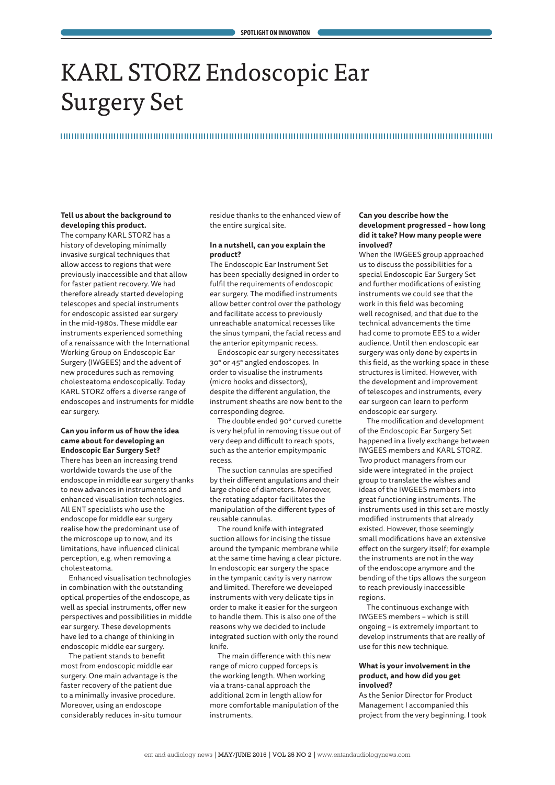# KARL STORZ Endoscopic Ear Surgery Set

# 

#### **Tell us about the background to developing this product.**

The company KARL STORZ has a history of developing minimally invasive surgical techniques that allow access to regions that were previously inaccessible and that allow for faster patient recovery. We had therefore already started developing telescopes and special instruments for endoscopic assisted ear surgery in the mid-1980s. These middle ear instruments experienced something of a renaissance with the International Working Group on Endoscopic Ear Surgery (IWGEES) and the advent of new procedures such as removing cholesteatoma endoscopically. Today KARL STORZ offers a diverse range of endoscopes and instruments for middle ear surgery.

### **Can you inform us of how the idea came about for developing an Endoscopic Ear Surgery Set?**

There has been an increasing trend worldwide towards the use of the endoscope in middle ear surgery thanks to new advances in instruments and enhanced visualisation technologies. All ENT specialists who use the endoscope for middle ear surgery realise how the predominant use of the microscope up to now, and its limitations, have influenced clinical perception, e.g. when removing a cholesteatoma.

Enhanced visualisation technologies in combination with the outstanding optical properties of the endoscope, as well as special instruments, offer new perspectives and possibilities in middle ear surgery. These developments have led to a change of thinking in endoscopic middle ear surgery.

The patient stands to benefit most from endoscopic middle ear surgery. One main advantage is the faster recovery of the patient due to a minimally invasive procedure. Moreover, using an endoscope considerably reduces in-situ tumour residue thanks to the enhanced view of the entire surgical site.

## **In a nutshell, can you explain the product?**

The Endoscopic Ear Instrument Set has been specially designed in order to fulfil the requirements of endoscopic ear surgery. The modified instruments allow better control over the pathology and facilitate access to previously unreachable anatomical recesses like the sinus tympani, the facial recess and the anterior epitympanic recess.

Endoscopic ear surgery necessitates 30° or 45° angled endoscopes. In order to visualise the instruments (micro hooks and dissectors), despite the different angulation, the instrument sheaths are now bent to the corresponding degree.

The double ended 90° curved curette is very helpful in removing tissue out of very deep and difficult to reach spots, such as the anterior empitympanic recess.

The suction cannulas are specified by their different angulations and their large choice of diameters. Moreover, the rotating adaptor facilitates the manipulation of the different types of reusable cannulas.

The round knife with integrated suction allows for incising the tissue around the tympanic membrane while at the same time having a clear picture. In endoscopic ear surgery the space in the tympanic cavity is very narrow and limited. Therefore we developed instruments with very delicate tips in order to make it easier for the surgeon to handle them. This is also one of the reasons why we decided to include integrated suction with only the round knife.

The main difference with this new range of micro cupped forceps is the working length. When working via a trans-canal approach the additional 2cm in length allow for more comfortable manipulation of the instruments.

#### **Can you describe how the development progressed – how long did it take? How many people were involved?**

When the IWGEES group approached us to discuss the possibilities for a special Endoscopic Ear Surgery Set and further modifications of existing instruments we could see that the work in this field was becoming well recognised, and that due to the technical advancements the time had come to promote EES to a wider audience. Until then endoscopic ear surgery was only done by experts in this field, as the working space in these structures is limited. However, with the development and improvement of telescopes and instruments, every ear surgeon can learn to perform endoscopic ear surgery.

The modification and development of the Endoscopic Ear Surgery Set happened in a lively exchange between IWGEES members and KARL STORZ. Two product managers from our side were integrated in the project group to translate the wishes and ideas of the IWGEES members into great functioning instruments. The instruments used in this set are mostly modified instruments that already existed. However, those seemingly small modifications have an extensive effect on the surgery itself; for example the instruments are not in the way of the endoscope anymore and the bending of the tips allows the surgeon to reach previously inaccessible regions.

The continuous exchange with IWGEES members – which is still ongoing – is extremely important to develop instruments that are really of use for this new technique.

#### **What is your involvement in the product, and how did you get involved?**

As the Senior Director for Product Management I accompanied this project from the very beginning. I took